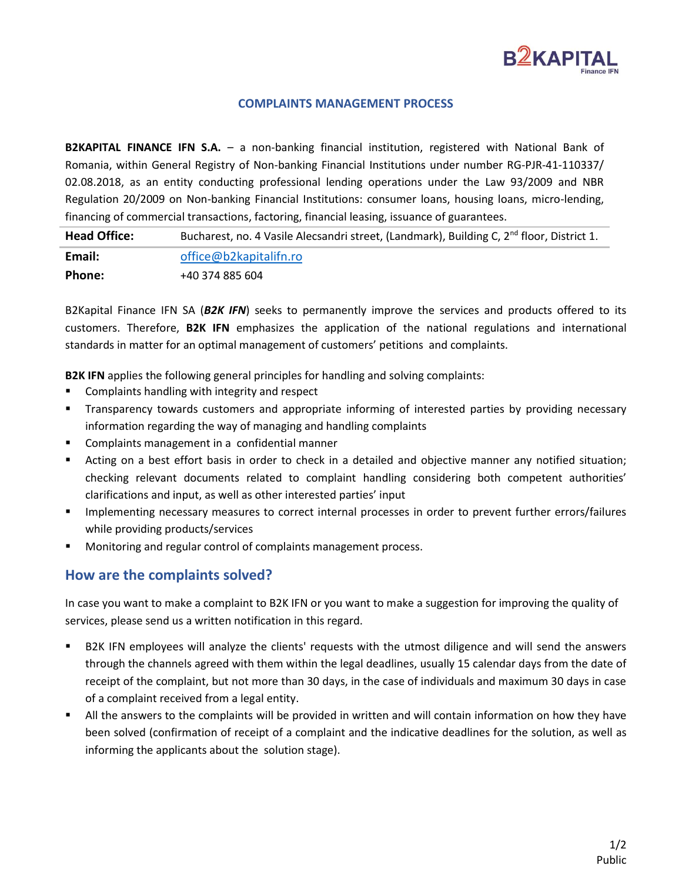

#### **COMPLAINTS MANAGEMENT PROCESS**

**B2KAPITAL FINANCE IFN S.A.** – a non-banking financial institution, registered with National Bank of Romania, within General Registry of Non-banking Financial Institutions under number RG-PJR-41-110337/ 02.08.2018, as an entity conducting professional lending operations under the Law 93/2009 and NBR Regulation 20/2009 on Non-banking Financial Institutions: consumer loans, housing loans, micro-lending, financing of commercial transactions, factoring, financial leasing, issuance of guarantees.

Head Office: Bucharest, no. 4 Vasile Alecsandri street, (Landmark), Building C, 2<sup>nd</sup> floor, District 1. **Email:** [office@b2kapitalifn.ro](mailto:office@b2kapitalifn.ro) **Phone:** +40 374 885 604

B2Kapital Finance IFN SA (*B2K IFN*) seeks to permanently improve the services and products offered to its customers. Therefore, **B2K IFN** emphasizes the application of the national regulations and international standards in matter for an optimal management of customers' petitions and complaints.

**B2K IFN** applies the following general principles for handling and solving complaints:

- Complaints handling with integrity and respect
- **•** Transparency towards customers and appropriate informing of interested parties by providing necessary information regarding the way of managing and handling complaints
- Complaints management in a confidential manner
- Acting on a best effort basis in order to check in a detailed and objective manner any notified situation; checking relevant documents related to complaint handling considering both competent authorities' clarifications and input, as well as other interested parties' input
- **■** Implementing necessary measures to correct internal processes in order to prevent further errors/failures while providing products/services
- Monitoring and regular control of complaints management process.

#### **How are the complaints solved?**

In case you want to make a complaint to B2K IFN or you want to make a suggestion for improving the quality of services, please send us a written notification in this regard.

- B2K IFN employees will analyze the clients' requests with the utmost diligence and will send the answers through the channels agreed with them within the legal deadlines, usually 15 calendar days from the date of receipt of the complaint, but not more than 30 days, in the case of individuals and maximum 30 days in case of a complaint received from a legal entity.
- All the answers to the complaints will be provided in written and will contain information on how they have been solved (confirmation of receipt of a complaint and the indicative deadlines for the solution, as well as informing the applicants about the solution stage).